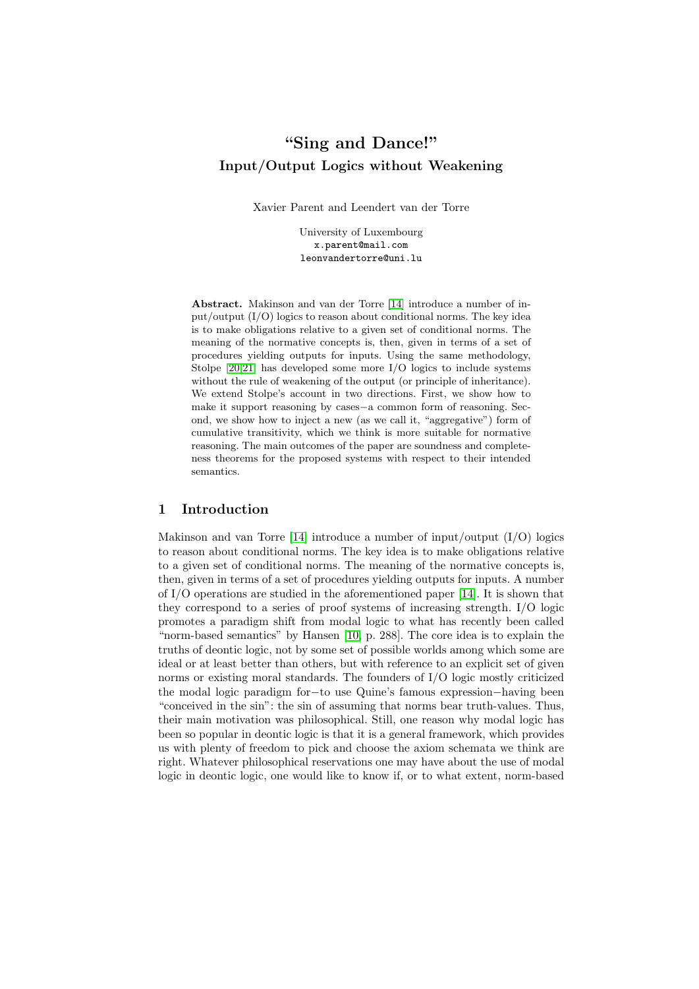# "Sing and Dance!" Input/Output Logics without Weakening

Xavier Parent and Leendert van der Torre

University of Luxembourg x.parent@mail.com leonvandertorre@uni.lu

Abstract. Makinson and van der Torre [\[14\]](#page-16-0) introduce a number of input/output (I/O) logics to reason about conditional norms. The key idea is to make obligations relative to a given set of conditional norms. The meaning of the normative concepts is, then, given in terms of a set of procedures yielding outputs for inputs. Using the same methodology, Stolpe [\[20,](#page-16-1)[21\]](#page-16-2) has developed some more I/O logics to include systems without the rule of weakening of the output (or principle of inheritance). We extend Stolpe's account in two directions. First, we show how to make it support reasoning by cases−a common form of reasoning. Second, we show how to inject a new (as we call it, "aggregative") form of cumulative transitivity, which we think is more suitable for normative reasoning. The main outcomes of the paper are soundness and completeness theorems for the proposed systems with respect to their intended semantics.

# 1 Introduction

Makinson and van Torre [\[14\]](#page-16-0) introduce a number of input/output (I/O) logics to reason about conditional norms. The key idea is to make obligations relative to a given set of conditional norms. The meaning of the normative concepts is, then, given in terms of a set of procedures yielding outputs for inputs. A number of I/O operations are studied in the aforementioned paper [\[14\]](#page-16-0). It is shown that they correspond to a series of proof systems of increasing strength. I/O logic promotes a paradigm shift from modal logic to what has recently been called "norm-based semantics" by Hansen [\[10,](#page-16-3) p. 288]. The core idea is to explain the truths of deontic logic, not by some set of possible worlds among which some are ideal or at least better than others, but with reference to an explicit set of given norms or existing moral standards. The founders of I/O logic mostly criticized the modal logic paradigm for−to use Quine's famous expression−having been "conceived in the sin": the sin of assuming that norms bear truth-values. Thus, their main motivation was philosophical. Still, one reason why modal logic has been so popular in deontic logic is that it is a general framework, which provides us with plenty of freedom to pick and choose the axiom schemata we think are right. Whatever philosophical reservations one may have about the use of modal logic in deontic logic, one would like to know if, or to what extent, norm-based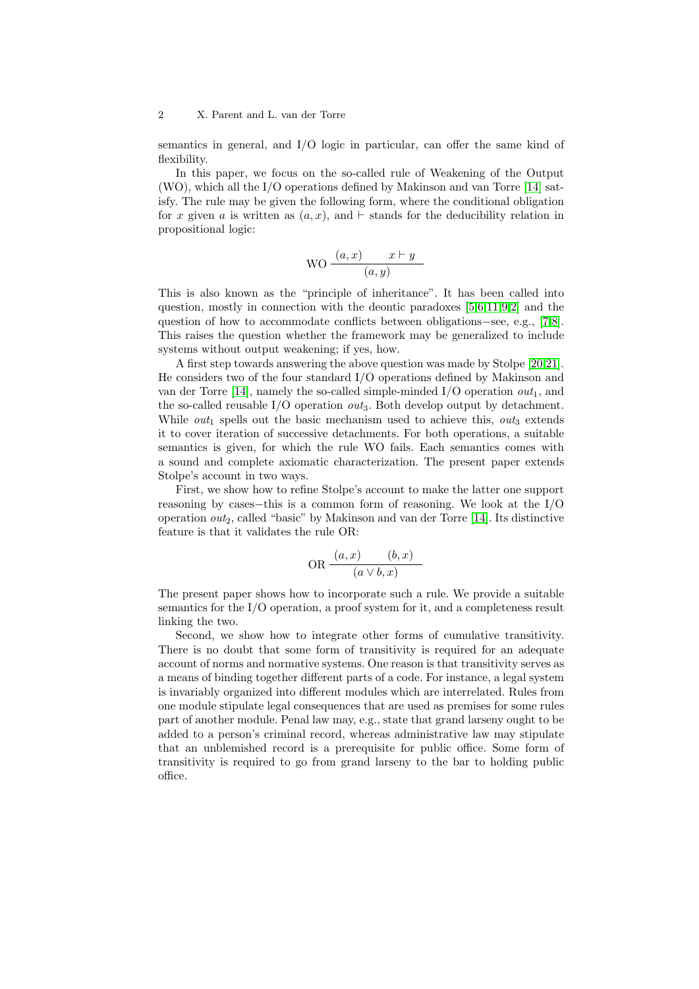semantics in general, and I/O logic in particular, can offer the same kind of flexibility.

In this paper, we focus on the so-called rule of Weakening of the Output (WO), which all the I/O operations defined by Makinson and van Torre [\[14\]](#page-16-0) satisfy. The rule may be given the following form, where the conditional obligation for x given a is written as  $(a, x)$ , and  $\vdash$  stands for the deducibility relation in propositional logic:

$$
\text{WO} \xrightarrow{(a,x)} \frac{x \vdash y}{(a,y)}
$$

This is also known as the "principle of inheritance". It has been called into question, mostly in connection with the deontic paradoxes [\[5,](#page-15-0)[6,](#page-15-1)[11,](#page-16-4)[9](#page-16-5)[,2\]](#page-15-2) and the question of how to accommodate conflicts between obligations−see, e.g., [\[7](#page-15-3)[,8\]](#page-15-4). This raises the question whether the framework may be generalized to include systems without output weakening; if yes, how.

A first step towards answering the above question was made by Stolpe [\[20,](#page-16-1)[21\]](#page-16-2). He considers two of the four standard I/O operations defined by Makinson and van der Torre [\[14\]](#page-16-0), namely the so-called simple-minded I/O operation  $out_1$ , and the so-called reusable  $I/O$  operation  $out_3$ . Both develop output by detachment. While  $out_1$  spells out the basic mechanism used to achieve this,  $out_3$  extends it to cover iteration of successive detachments. For both operations, a suitable semantics is given, for which the rule WO fails. Each semantics comes with a sound and complete axiomatic characterization. The present paper extends Stolpe's account in two ways.

First, we show how to refine Stolpe's account to make the latter one support reasoning by cases−this is a common form of reasoning. We look at the I/O operation  $out_2$ , called "basic" by Makinson and van der Torre [\[14\]](#page-16-0). Its distinctive feature is that it validates the rule OR:

OR 
$$
\frac{(a, x) (b, x)}{(a \vee b, x)}
$$

The present paper shows how to incorporate such a rule. We provide a suitable semantics for the I/O operation, a proof system for it, and a completeness result linking the two.

Second, we show how to integrate other forms of cumulative transitivity. There is no doubt that some form of transitivity is required for an adequate account of norms and normative systems. One reason is that transitivity serves as a means of binding together different parts of a code. For instance, a legal system is invariably organized into different modules which are interrelated. Rules from one module stipulate legal consequences that are used as premises for some rules part of another module. Penal law may, e.g., state that grand larseny ought to be added to a person's criminal record, whereas administrative law may stipulate that an unblemished record is a prerequisite for public office. Some form of transitivity is required to go from grand larseny to the bar to holding public office.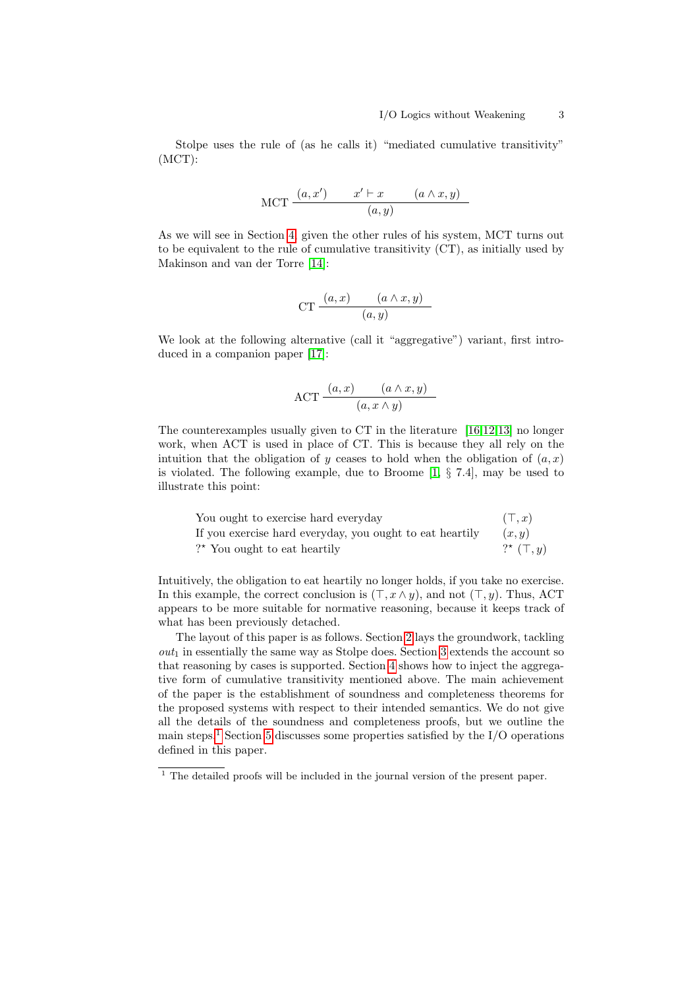Stolpe uses the rule of (as he calls it) "mediated cumulative transitivity" (MCT):

$$
\text{MCT} \frac{(a, x') \qquad x' \vdash x \qquad (a \land x, y)}{(a, y)}
$$

As we will see in Section [4,](#page-8-0) given the other rules of his system, MCT turns out to be equivalent to the rule of cumulative transitivity (CT), as initially used by Makinson and van der Torre [\[14\]](#page-16-0):

$$
CT \frac{(a, x) \qquad (a \wedge x, y)}{(a, y)}
$$

We look at the following alternative (call it "aggregative") variant, first introduced in a companion paper [\[17\]](#page-16-6):

$$
ACT \frac{(a, x) \qquad (a \wedge x, y)}{(a, x \wedge y)}
$$

The counterexamples usually given to CT in the literature [\[16,](#page-16-7)[12](#page-16-8)[,13\]](#page-16-9) no longer work, when ACT is used in place of CT. This is because they all rely on the intuition that the obligation of y ceases to hold when the obligation of  $(a, x)$ is violated. The following example, due to Broome [\[1,](#page-15-5) § 7.4], may be used to illustrate this point:

| You ought to exercise hard everyday                      | (T, x)          |
|----------------------------------------------------------|-----------------|
| If you exercise hard everyday, you ought to eat heartily | (x,y)           |
| ?* You ought to eat heartily                             | $?^{*}(\top,y)$ |

Intuitively, the obligation to eat heartily no longer holds, if you take no exercise. In this example, the correct conclusion is  $(\top, x \wedge y)$ , and not  $(\top, y)$ . Thus, ACT appears to be more suitable for normative reasoning, because it keeps track of what has been previously detached.

The layout of this paper is as follows. Section [2](#page-3-0) lays the groundwork, tackling  $out_1$  in essentially the same way as Stolpe does. Section [3](#page-5-0) extends the account so that reasoning by cases is supported. Section [4](#page-8-0) shows how to inject the aggregative form of cumulative transitivity mentioned above. The main achievement of the paper is the establishment of soundness and completeness theorems for the proposed systems with respect to their intended semantics. We do not give all the details of the soundness and completeness proofs, but we outline the main steps.<sup>[1](#page-2-0)</sup> Section [5](#page-12-0) discusses some properties satisfied by the I/O operations defined in this paper.

<span id="page-2-0"></span> $1$  The detailed proofs will be included in the journal version of the present paper.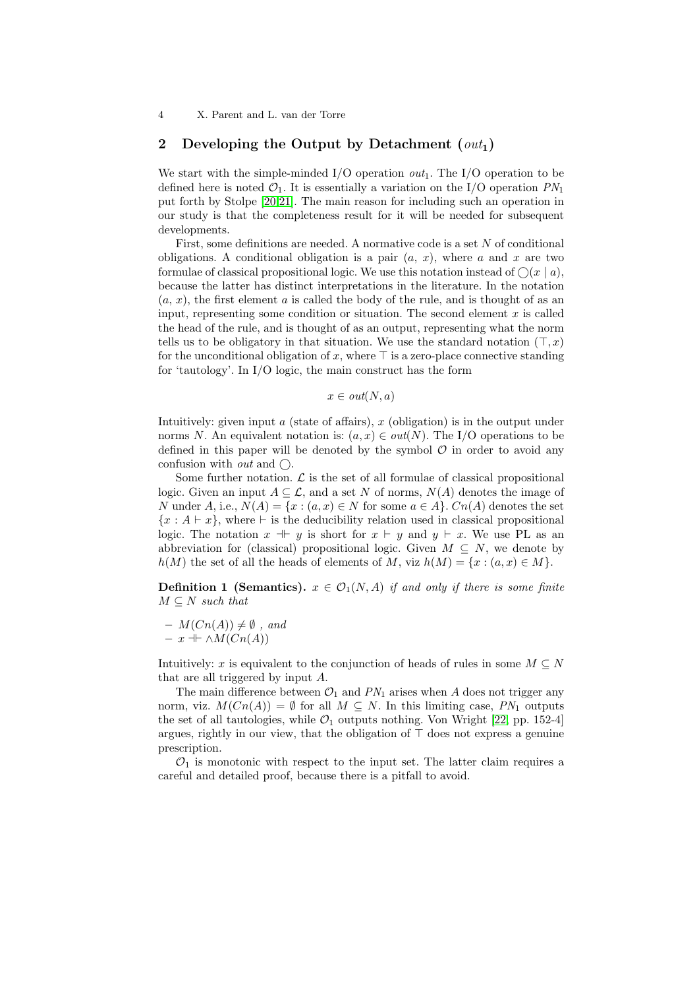## <span id="page-3-0"></span>2 Developing the Output by Detachment  $\text{(out)}$

We start with the simple-minded I/O operation  $out_1$ . The I/O operation to be defined here is noted  $\mathcal{O}_1$ . It is essentially a variation on the I/O operation  $PN_1$ put forth by Stolpe [\[20,](#page-16-1)[21\]](#page-16-2). The main reason for including such an operation in our study is that the completeness result for it will be needed for subsequent developments.

First, some definitions are needed. A normative code is a set N of conditional obligations. A conditional obligation is a pair  $(a, x)$ , where a and x are two formulae of classical propositional logic. We use this notation instead of  $\bigcap (x \mid a)$ , because the latter has distinct interpretations in the literature. In the notation  $(a, x)$ , the first element a is called the body of the rule, and is thought of as an input, representing some condition or situation. The second element  $x$  is called the head of the rule, and is thought of as an output, representing what the norm tells us to be obligatory in that situation. We use the standard notation  $(\top, x)$ for the unconditional obligation of x, where  $\top$  is a zero-place connective standing for 'tautology'. In I/O logic, the main construct has the form

$$
x \in out(N, a)
$$

Intuitively: given input a (state of affairs), x (obligation) is in the output under norms N. An equivalent notation is:  $(a, x) \in out(N)$ . The I/O operations to be defined in this paper will be denoted by the symbol  $\mathcal O$  in order to avoid any confusion with *out* and  $\bigcap$ .

Some further notation.  $\mathcal L$  is the set of all formulae of classical propositional logic. Given an input  $A \subseteq \mathcal{L}$ , and a set N of norms,  $N(A)$  denotes the image of N under A, i.e.,  $N(A) = \{x : (a, x) \in N \text{ for some } a \in A\}$ .  $Cn(A)$  denotes the set  ${x : A \vdash x}$ , where  $\vdash$  is the deducibility relation used in classical propositional logic. The notation  $x + y$  is short for  $x \vdash y$  and  $y \vdash x$ . We use PL as an abbreviation for (classical) propositional logic. Given  $M \subseteq N$ , we denote by  $h(M)$  the set of all the heads of elements of M, viz  $h(M) = \{x : (a, x) \in M\}.$ 

<span id="page-3-2"></span>**Definition 1 (Semantics).**  $x \in \mathcal{O}_1(N, A)$  if and only if there is some finite  $M \subseteq N$  such that

 $- M(Cn(A)) \neq \emptyset$ , and – x  $\vdash \wedge M(Cn(A))$ 

Intuitively: x is equivalent to the conjunction of heads of rules in some  $M \subseteq N$ that are all triggered by input A.

The main difference between  $\mathcal{O}_1$  and  $PN_1$  arises when A does not trigger any norm, viz.  $M(Cn(A)) = \emptyset$  for all  $M \subseteq N$ . In this limiting case, PN<sub>1</sub> outputs the set of all tautologies, while  $\mathcal{O}_1$  outputs nothing. Von Wright [\[22,](#page-16-10) pp. 152-4] argues, rightly in our view, that the obligation of  $\top$  does not express a genuine prescription.

<span id="page-3-1"></span> $\mathcal{O}_1$  is monotonic with respect to the input set. The latter claim requires a careful and detailed proof, because there is a pitfall to avoid.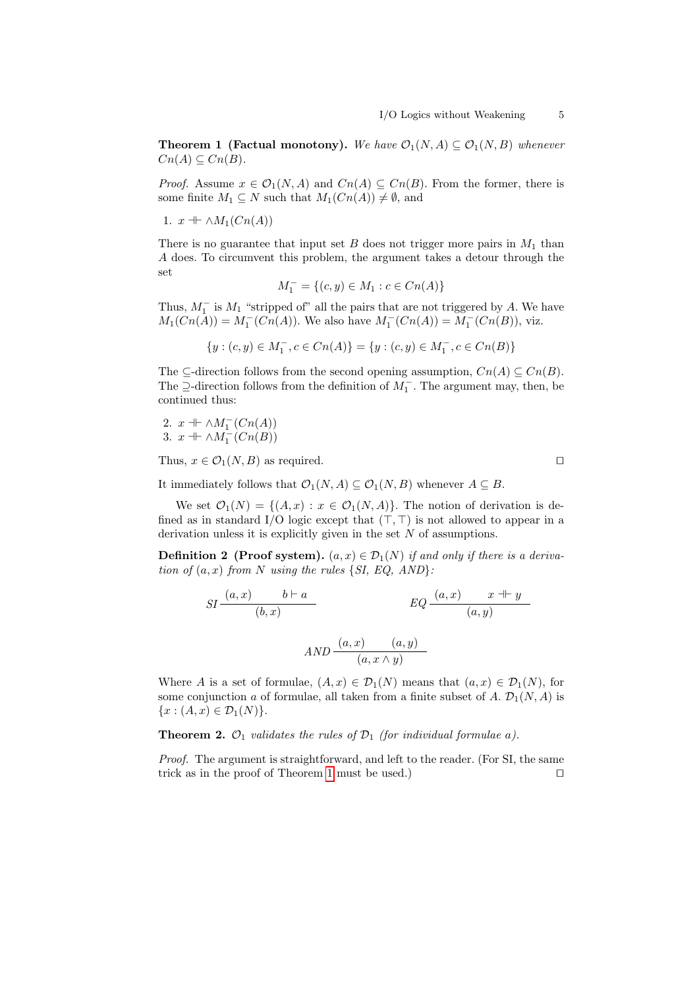**Theorem 1 (Factual monotony).** We have  $\mathcal{O}_1(N, A) \subseteq \mathcal{O}_1(N, B)$  whenever  $Cn(A) \subseteq Cn(B)$ .

*Proof.* Assume  $x \in \mathcal{O}_1(N, A)$  and  $C_n(A) \subseteq C_n(B)$ . From the former, there is some finite  $M_1 \subseteq N$  such that  $M_1(Cn(A)) \neq \emptyset$ , and

1.  $x \dashv \wedge M_1(Cn(A))$ 

There is no guarantee that input set B does not trigger more pairs in  $M_1$  than A does. To circumvent this problem, the argument takes a detour through the set

$$
M_1^- = \{(c, y) \in M_1 : c \in Cn(A)\}
$$

Thus,  $M_1^-$  is  $M_1$  "stripped of" all the pairs that are not triggered by A. We have  $M_1(Cn(\tilde{A})) = M_1^-(Cn(A))$ . We also have  $M_1^-(Cn(A)) = M_1^-(Cn(B))$ , viz.

$$
\{y:(c,y)\in M_1^-, c\in Cn(A)\}=\{y:(c,y)\in M_1^-, c\in Cn(B)\}
$$

The  $\subseteq$ -direction follows from the second opening assumption,  $Cn(A) \subseteq Cn(B)$ . The ⊇-direction follows from the definition of  $M_1^-$ . The argument may, then, be continued thus:

2.  $x \dashv \wedge M_1^-(Cn(A))$ 3.  $x \dashv \wedge M_1^-(Cn(B))$ 

Thus,  $x \in \mathcal{O}_1(N, B)$  as required.

It immediately follows that  $\mathcal{O}_1(N, A) \subseteq \mathcal{O}_1(N, B)$  whenever  $A \subseteq B$ .

We set  $\mathcal{O}_1(N) = \{(A, x) : x \in \mathcal{O}_1(N, A)\}.$  The notion of derivation is defined as in standard I/O logic except that  $(\top, \top)$  is not allowed to appear in a derivation unless it is explicitly given in the set  $N$  of assumptions.

**Definition 2** (Proof system).  $(a, x) \in \mathcal{D}_1(N)$  if and only if there is a derivation of  $(a, x)$  from N using the rules  $\{SI, EQ, AND\}$ :

$$
SI \frac{(a,x) \qquad b \vdash a}{(b,x)} \qquad \qquad EQ \frac{(a,x) \qquad x \dashv y}{(a,y)} \qquad \qquad LQ \frac{(a,x) \qquad x \dashv y}{(a,y)}
$$
\n
$$
AND \frac{(a,x) \qquad (a,y)}{(a,x \land y)}
$$

Where A is a set of formulae,  $(A, x) \in \mathcal{D}_1(N)$  means that  $(a, x) \in \mathcal{D}_1(N)$ , for some conjunction a of formulae, all taken from a finite subset of A.  $\mathcal{D}_1(N, A)$  is  ${x : (A, x) \in \mathcal{D}_1(N)}.$ 

<span id="page-4-0"></span>**Theorem 2.**  $\mathcal{O}_1$  validates the rules of  $\mathcal{D}_1$  (for individual formulae a).

<span id="page-4-1"></span>Proof. The argument is straightforward, and left to the reader. (For SI, the same trick as in the proof of Theorem [1](#page-3-1) must be used.)  $\Box$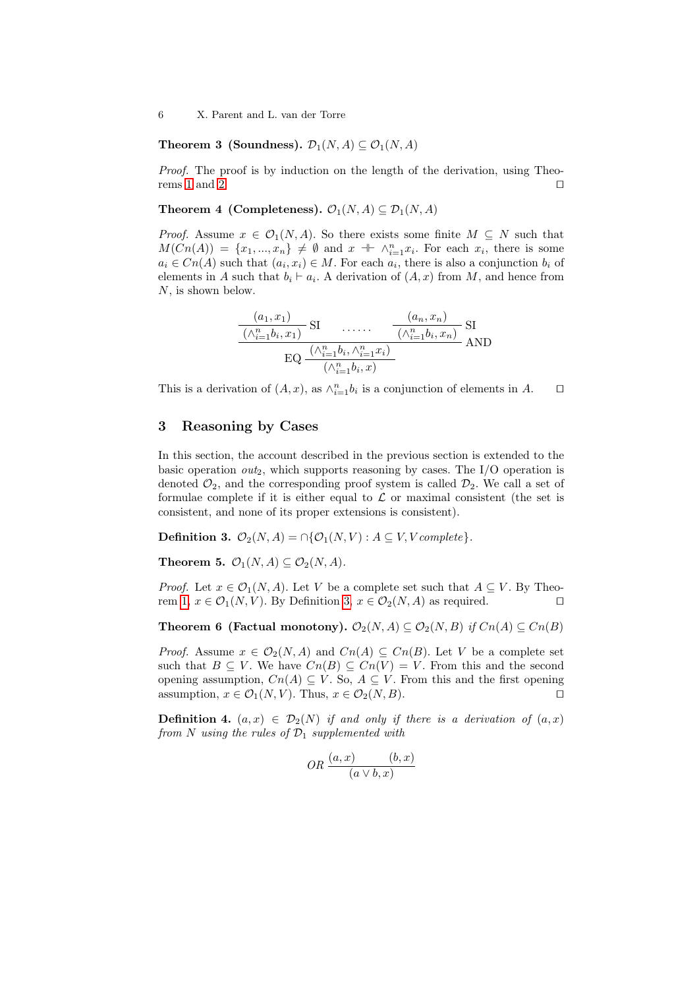Theorem 3 (Soundness).  $\mathcal{D}_1(N, A) \subseteq \mathcal{O}_1(N, A)$ 

Proof. The proof is by induction on the length of the derivation, using Theo-rems [1](#page-3-1) and [2.](#page-4-0)  $\Box$ 

<span id="page-5-3"></span>Theorem 4 (Completeness).  $\mathcal{O}_1(N, A) \subseteq \mathcal{D}_1(N, A)$ 

*Proof.* Assume  $x \in \mathcal{O}_1(N, A)$ . So there exists some finite  $M \subseteq N$  such that  $M(Cn(A)) = \{x_1, ..., x_n\} \neq \emptyset$  and  $x \dashv \wedge_{i=1}^n x_i$ . For each  $x_i$ , there is some  $a_i \in C_n(A)$  such that  $(a_i, x_i) \in M$ . For each  $a_i$ , there is also a conjunction  $b_i$  of elements in A such that  $b_i \vdash a_i$ . A derivation of  $(A, x)$  from M, and hence from N, is shown below.

$$
\frac{(a_1, x_1)}{\frac{(\wedge_{i=1}^n b_i, x_1)}{\text{EQ}} \text{SI} \dots \dots \frac{(a_n, x_n)}{\frac{(\wedge_{i=1}^n b_i, x_n)}{\text{AL}} \text{AND}} \text{SI}} \text{MND}
$$

$$
\text{EQ} \frac{(\wedge_{i=1}^n b_i, \wedge_{i=1}^n x_i)}{(\wedge_{i=1}^n b_i, x)}
$$

This is a derivation of  $(A, x)$ , as  $\wedge_{i=1}^{n} b_i$  is a conjunction of elements in A.  $\Box$ 

## <span id="page-5-0"></span>3 Reasoning by Cases

In this section, the account described in the previous section is extended to the basic operation  $out_2$ , which supports reasoning by cases. The I/O operation is denoted  $\mathcal{O}_2$ , and the corresponding proof system is called  $\mathcal{D}_2$ . We call a set of formulae complete if it is either equal to  $\mathcal L$  or maximal consistent (the set is consistent, and none of its proper extensions is consistent).

<span id="page-5-1"></span>**Definition 3.**  $\mathcal{O}_2(N, A) = \bigcap \{ \mathcal{O}_1(N, V) : A \subseteq V, V \text{ complete} \}.$ 

Theorem 5.  $\mathcal{O}_1(N, A) \subseteq \mathcal{O}_2(N, A)$ .

*Proof.* Let  $x \in \mathcal{O}_1(N, A)$ . Let V be a complete set such that  $A \subseteq V$ . By Theo-rem [1,](#page-3-1)  $x \in \mathcal{O}_1(N, V)$ . By Definition [3,](#page-5-1)  $x \in \mathcal{O}_2(N, A)$  as required.

<span id="page-5-2"></span>**Theorem 6 (Factual monotony).**  $\mathcal{O}_2(N,A) \subseteq \mathcal{O}_2(N,B)$  if  $Cn(A) \subseteq Cn(B)$ 

*Proof.* Assume  $x \in \mathcal{O}_2(N, A)$  and  $C_n(A) \subset C_n(B)$ . Let V be a complete set such that  $B \subseteq V$ . We have  $Cn(B) \subseteq Cn(V) = V$ . From this and the second opening assumption,  $Cn(A) \subseteq V$ . So,  $A \subseteq V$ . From this and the first opening assumption,  $x \in \mathcal{O}_1(N, V)$ . Thus,  $x \in \mathcal{O}_2(N, B)$ .

**Definition 4.**  $(a, x) \in \mathcal{D}_2(N)$  if and only if there is a derivation of  $(a, x)$ from N using the rules of  $\mathcal{D}_1$  supplemented with

$$
OR \frac{(a, x) \qquad (b, x)}{(a \vee b, x)}
$$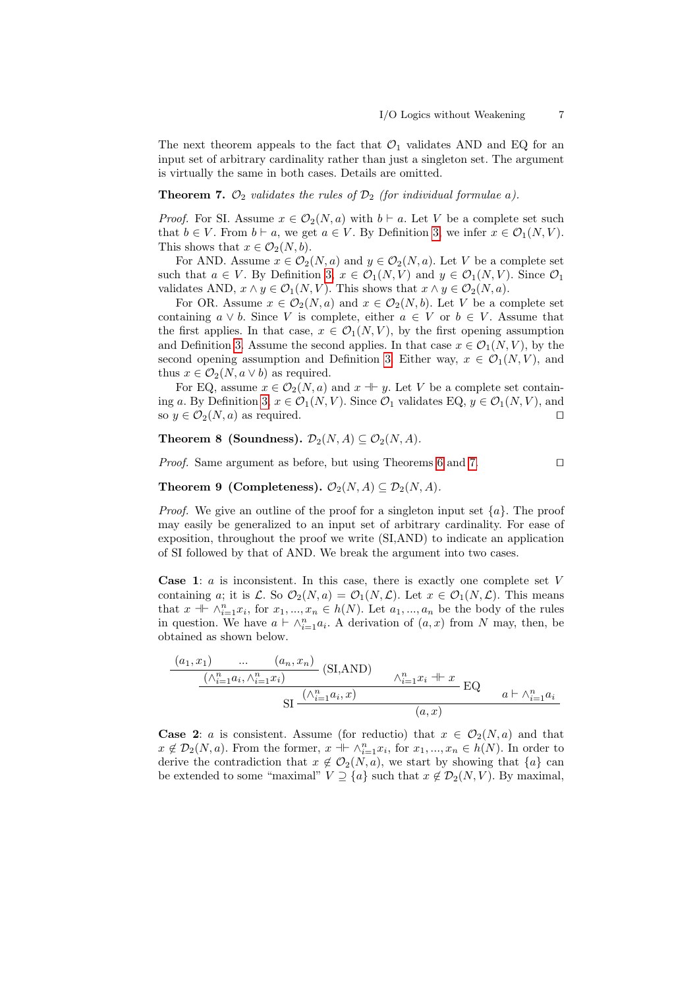<span id="page-6-0"></span>The next theorem appeals to the fact that  $\mathcal{O}_1$  validates AND and EQ for an input set of arbitrary cardinality rather than just a singleton set. The argument is virtually the same in both cases. Details are omitted.

**Theorem 7.**  $\mathcal{O}_2$  validates the rules of  $\mathcal{D}_2$  (for individual formulae a).

*Proof.* For SI. Assume  $x \in \mathcal{O}_2(N, a)$  with  $b \vdash a$ . Let V be a complete set such that  $b \in V$ . From  $b \vdash a$ , we get  $a \in V$ . By Definition [3,](#page-5-1) we infer  $x \in \mathcal{O}_1(N, V)$ . This shows that  $x \in \mathcal{O}_2(N, b)$ .

For AND. Assume  $x \in \mathcal{O}_2(N, a)$  and  $y \in \mathcal{O}_2(N, a)$ . Let V be a complete set such that  $a \in V$ . By Definition [3,](#page-5-1)  $x \in \mathcal{O}_1(N, V)$  and  $y \in \mathcal{O}_1(N, V)$ . Since  $\mathcal{O}_1$ validates AND,  $x \wedge y \in \mathcal{O}_1(N, V)$ . This shows that  $x \wedge y \in \mathcal{O}_2(N, a)$ .

For OR. Assume  $x \in \mathcal{O}_2(N, a)$  and  $x \in \mathcal{O}_2(N, b)$ . Let V be a complete set containing  $a \vee b$ . Since V is complete, either  $a \in V$  or  $b \in V$ . Assume that the first applies. In that case,  $x \in \mathcal{O}_1(N, V)$ , by the first opening assumption and Definition [3.](#page-5-1) Assume the second applies. In that case  $x \in \mathcal{O}_1(N, V)$ , by the second opening assumption and Definition [3.](#page-5-1) Either way,  $x \in \mathcal{O}_1(N, V)$ , and thus  $x \in \mathcal{O}_2(N, a \vee b)$  as required.

For EQ, assume  $x \in \mathcal{O}_2(N, a)$  and  $x + y$ . Let V be a complete set contain-ing a. By Definition [3,](#page-5-1)  $x \in \mathcal{O}_1(N, V)$ . Since  $\mathcal{O}_1$  validates EQ,  $y \in \mathcal{O}_1(N, V)$ , and so  $y \in \mathcal{O}_2(N, a)$  as required.

Theorem 8 (Soundness).  $\mathcal{D}_2(N, A) \subseteq \mathcal{O}_2(N, A)$ .

*Proof.* Same argument as before, but using Theorems [6](#page-5-2) and [7.](#page-6-0)  $\Box$ 

Theorem 9 (Completeness).  $\mathcal{O}_2(N, A) \subseteq \mathcal{D}_2(N, A)$ .

*Proof.* We give an outline of the proof for a singleton input set  $\{a\}$ . The proof may easily be generalized to an input set of arbitrary cardinality. For ease of exposition, throughout the proof we write (SI,AND) to indicate an application of SI followed by that of AND. We break the argument into two cases.

**Case 1:**  $a$  is inconsistent. In this case, there is exactly one complete set  $V$ containing a; it is  $\mathcal{L}$ . So  $\mathcal{O}_2(N,a) = \mathcal{O}_1(N,\mathcal{L})$ . Let  $x \in \mathcal{O}_1(N,\mathcal{L})$ . This means that  $x \dashv \wedge_{i=1}^n x_i$ , for  $x_1, ..., x_n \in h(N)$ . Let  $a_1, ..., a_n$  be the body of the rules in question. We have  $a \vdash \wedge_{i=1}^{n} a_i$ . A derivation of  $(a, x)$  from N may, then, be obtained as shown below.

$$
\frac{(a_1, x_1) \cdots (a_n, x_n)}{\underbrace{(\wedge_{i=1}^n a_i, \wedge_{i=1}^n x_i)}_{\text{SI}} \cdot (\text{SI,AND})} \qquad \wedge_{i=1}^n x_i \neq x \text{EQ}
$$
\n
$$
\text{CI} \quad a \vdash \wedge_{i=1}^n a_i
$$
\n
$$
(a, x) \qquad a \vdash \wedge_{i=1}^n a_i
$$

**Case 2:** a is consistent. Assume (for reductio) that  $x \in \mathcal{O}_2(N, a)$  and that  $x \notin \mathcal{D}_2(N, a)$ . From the former,  $x \dashv \wedge_{i=1}^n x_i$ , for  $x_1, ..., x_n \in h(N)$ . In order to derive the contradiction that  $x \notin \mathcal{O}_2(N, a)$ , we start by showing that  $\{a\}$  can be extended to some "maximal"  $V \supseteq \{a\}$  such that  $x \notin \mathcal{D}_2(N, V)$ . By maximal,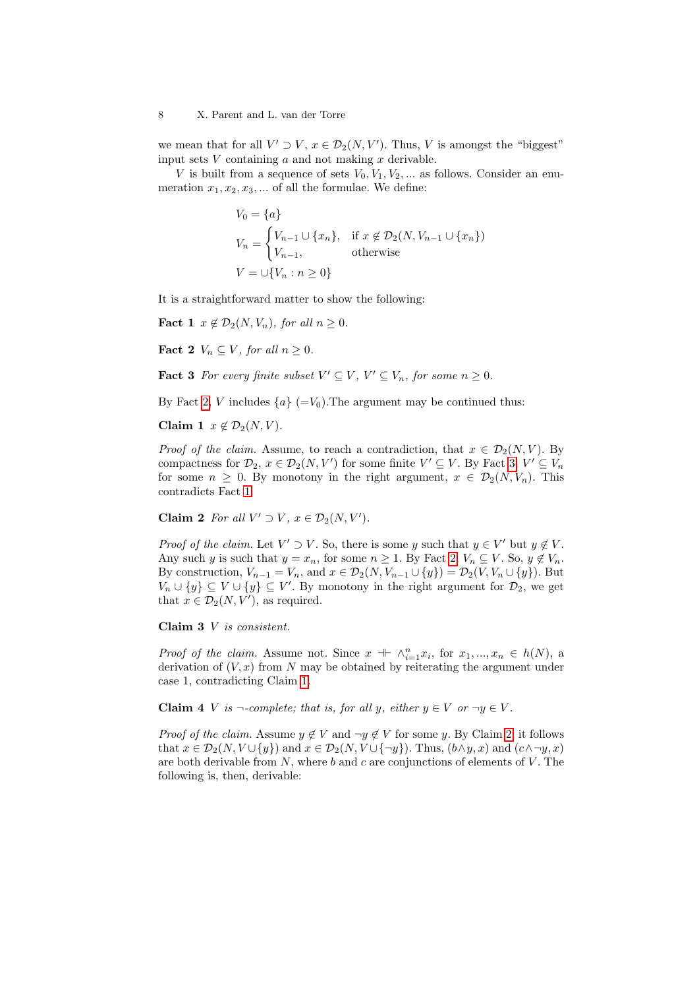we mean that for all  $V' \supset V$ ,  $x \in \mathcal{D}_2(N, V')$ . Thus, V is amongst the "biggest" input sets  $V$  containing  $a$  and not making  $x$  derivable.

V is built from a sequence of sets  $V_0, V_1, V_2, \dots$  as follows. Consider an enumeration  $x_1, x_2, x_3, \ldots$  of all the formulae. We define:

<span id="page-7-3"></span><span id="page-7-2"></span>
$$
V_0 = \{a\}
$$
  
\n
$$
V_n = \begin{cases} V_{n-1} \cup \{x_n\}, & \text{if } x \notin \mathcal{D}_2(N, V_{n-1} \cup \{x_n\}) \\ V_{n-1}, & \text{otherwise} \end{cases}
$$
  
\n
$$
V = \cup \{V_n : n \ge 0\}
$$

It is a straightforward matter to show the following:

Fact 1  $x \notin \mathcal{D}_2(N, V_n)$ , for all  $n \geq 0$ .

<span id="page-7-0"></span>Fact 2  $V_n \subset V$ , for all  $n \geq 0$ .

<span id="page-7-1"></span>**Fact 3** For every finite subset  $V' \subseteq V$ ,  $V' \subseteq V_n$ , for some  $n \geq 0$ .

By Fact [2,](#page-7-0) V includes  $\{a\}$  (=V<sub>0</sub>). The argument may be continued thus:

Claim 1  $x \notin \mathcal{D}_2(N, V)$ .

*Proof of the claim.* Assume, to reach a contradiction, that  $x \in \mathcal{D}_2(N, V)$ . By compactness for  $\mathcal{D}_2$ ,  $x \in \mathcal{D}_2(N, V')$  for some finite  $V' \subseteq V$ . By Fact [3,](#page-7-1)  $V' \subseteq V_n$ for some  $n \geq 0$ . By monotony in the right argument,  $x \in \mathcal{D}_2(N, V_n)$ . This contradicts Fact [1.](#page-7-2)

<span id="page-7-4"></span>Claim 2 For all  $V' \supset V$ ,  $x \in \mathcal{D}_2(N, V')$ .

*Proof of the claim.* Let  $V' \supset V$ . So, there is some y such that  $y \in V'$  but  $y \notin V$ . Any such y is such that  $y = x_n$ , for some  $n \ge 1$ . By Fact [2,](#page-7-0)  $V_n \subseteq V$ . So,  $y \notin V_n$ . By construction,  $V_{n-1} = V_n$ , and  $x \in \mathcal{D}_2(N, V_{n-1} \cup \{y\}) = \mathcal{D}_2(V, V_n \cup \{y\})$ . But  $V_n \cup \{y\} \subseteq V \cup \{y\} \subseteq V'$ . By monotony in the right argument for  $\mathcal{D}_2$ , we get that  $x \in \mathcal{D}_2(N, V')$ , as required.

Claim 3 V is consistent.

*Proof of the claim.* Assume not. Since  $x \dashv \wedge_{i=1}^n x_i$ , for  $x_1, ..., x_n \in h(N)$ , a derivation of  $(V, x)$  from N may be obtained by reiterating the argument under case 1, contradicting Claim [1.](#page-7-3)

<span id="page-7-5"></span>Claim 4 V is  $\neg$ -complete; that is, for all y, either  $y \in V$  or  $\neg y \in V$ .

*Proof of the claim.* Assume  $y \notin V$  and  $\neg y \notin V$  for some y. By Claim [2,](#page-7-4) it follows that  $x \in \mathcal{D}_2(N, V \cup \{y\})$  and  $x \in \mathcal{D}_2(N, V \cup \{\neg y\})$ . Thus,  $(b \wedge y, x)$  and  $(c \wedge \neg y, x)$ are both derivable from  $N$ , where  $b$  and  $c$  are conjunctions of elements of  $V$ . The following is, then, derivable: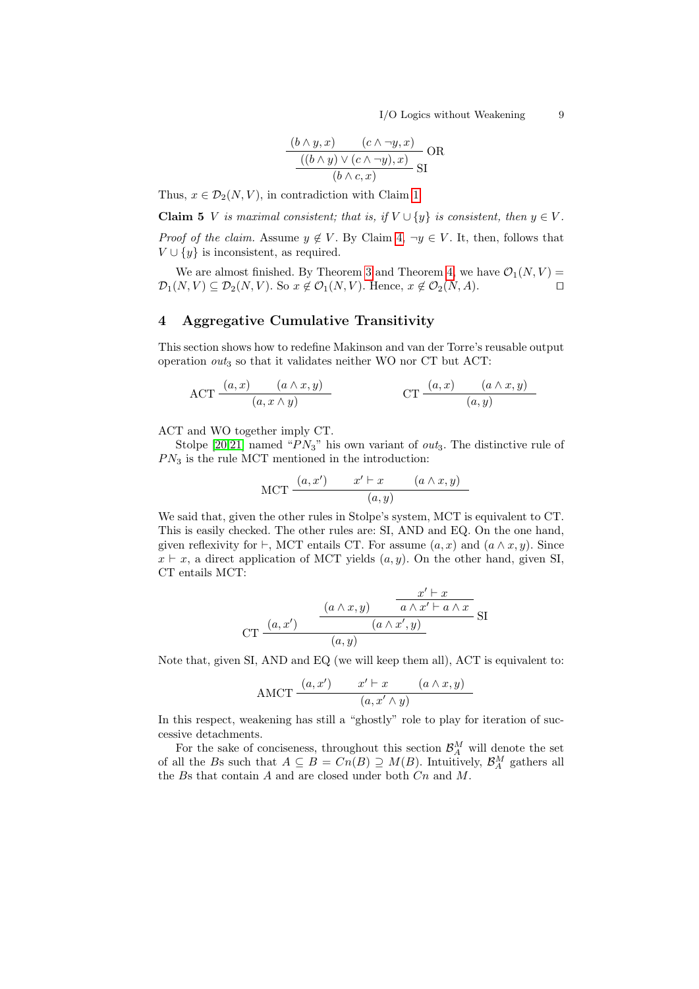$$
\frac{(b \land y, x) \qquad (c \land \neg y, x)}{(b \land y) \lor (c \land \neg y), x)} \text{OR}
$$

$$
\frac{((b \land y) \lor (c \land \neg y), x)}{(b \land c, x)} \text{SI}
$$

Thus,  $x \in \mathcal{D}_2(N, V)$ , in contradiction with Claim [1.](#page-7-3)

Claim 5 V is maximal consistent; that is, if  $V \cup \{y\}$  is consistent, then  $y \in V$ .

*Proof of the claim.* Assume  $y \notin V$ . By Claim [4,](#page-7-5)  $\neg y \in V$ . It, then, follows that  $V \cup \{y\}$  is inconsistent, as required.

We are almost finished. By Theorem [3](#page-4-1) and Theorem [4,](#page-5-3) we have  $\mathcal{O}_1(N, V)$  =  $\mathcal{D}_1(N, V) \subseteq \mathcal{D}_2(N, V)$ . So  $x \notin \mathcal{O}_1(N, V)$ . Hence,  $x \notin \mathcal{O}_2(N, A)$ .

# <span id="page-8-0"></span>4 Aggregative Cumulative Transitivity

This section shows how to redefine Makinson and van der Torre's reusable output operation  $out_3$  so that it validates neither WO nor CT but ACT:

$$
\text{ACT} \frac{(a, x) \qquad (a \land x, y)}{(a, x \land y)} \qquad \qquad \text{CT} \frac{(a, x) \qquad (a \land x, y)}{(a, y)}
$$

ACT and WO together imply CT.

Stolpe [\[20](#page-16-1)[,21\]](#page-16-2) named " $PN_3$ " his own variant of *out*<sub>3</sub>. The distinctive rule of  $PN<sub>3</sub>$  is the rule MCT mentioned in the introduction:

$$
MCT \frac{(a, x') \qquad x' \vdash x \qquad (a \land x, y)}{(a, y)}
$$

We said that, given the other rules in Stolpe's system, MCT is equivalent to CT. This is easily checked. The other rules are: SI, AND and EQ. On the one hand, given reflexivity for  $\vdash$ , MCT entails CT. For assume  $(a, x)$  and  $(a \wedge x, y)$ . Since  $x \vdash x$ , a direct application of MCT yields  $(a, y)$ . On the other hand, given SI, CT entails MCT:

$$
\text{CT } \frac{(a, x') \qquad \frac{x' \vdash x}{a \land x' \vdash a \land x}}{(a, y)} \text{SI}
$$

Note that, given SI, AND and EQ (we will keep them all), ACT is equivalent to:

AMCT 
$$
\frac{(a, x') \qquad x' \vdash x \qquad (a \land x, y)}{(a, x' \land y)}
$$

In this respect, weakening has still a "ghostly" role to play for iteration of successive detachments.

<span id="page-8-1"></span>For the sake of conciseness, throughout this section  $\mathcal{B}_{A}^{M}$  will denote the set of all the Bs such that  $A \subseteq B = Cn(B) \supseteq M(B)$ . Intuitively,  $\mathcal{B}_{A}^{M}$  gathers all the  $B$ s that contain  $A$  and are closed under both  $Cn$  and  $M$ .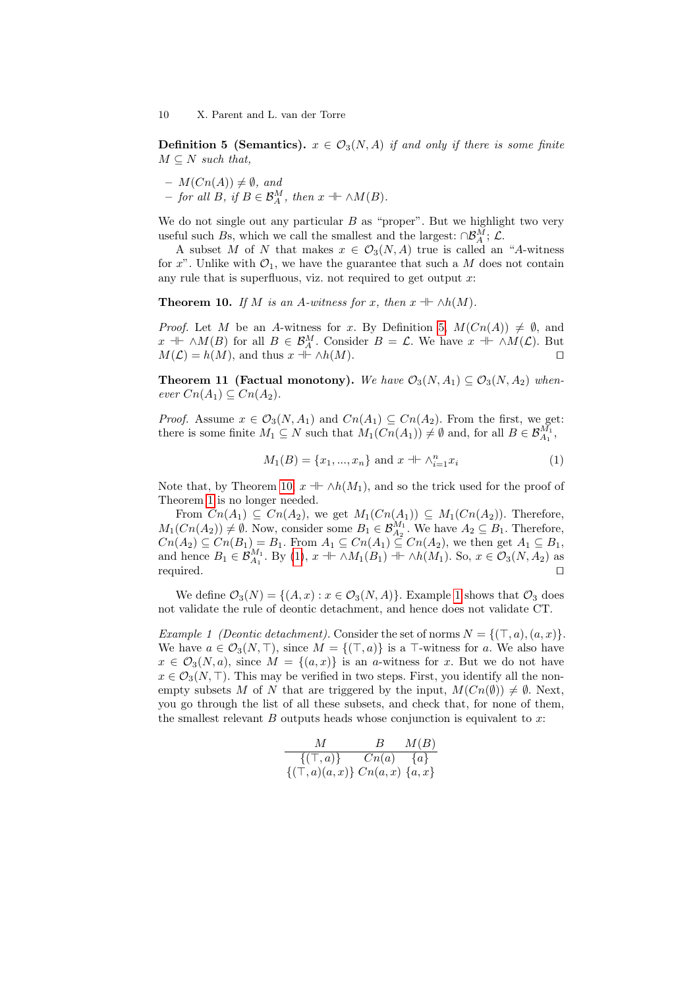**Definition 5 (Semantics).**  $x \in \mathcal{O}_3(N, A)$  if and only if there is some finite  $M \subseteq N$  such that,

$$
- M(Cn(A)) \neq \emptyset, and- for all B, if B \in \mathcal{B}_A^M, then x + \wedge M(B).
$$

We do not single out any particular  $B$  as "proper". But we highlight two very useful such Bs, which we call the smallest and the largest:  $\cap \mathcal{B}_{A}^{M}$ ;  $\mathcal{L}$ .

A subset M of N that makes  $x \in \mathcal{O}_3(N, A)$  true is called an "A-witness" for x". Unlike with  $\mathcal{O}_1$ , we have the guarantee that such a M does not contain any rule that is superfluous, viz. not required to get output  $x$ :

<span id="page-9-0"></span>**Theorem 10.** If M is an A-witness for x, then  $x + \wedge h(M)$ .

*Proof.* Let M be an A-witness for x. By Definition [5,](#page-8-1)  $M(Cn(A)) \neq \emptyset$ , and  $x \perp\vdash \wedge M(B)$  for all  $B \in \mathcal{B}_{A}^{M}$ . Consider  $B = \mathcal{L}$ . We have  $x \perp\vdash \wedge M(\mathcal{L})$ . But  $M(\mathcal{L}) = h(M)$ , and thus  $x \dashv \wedge h(M)$ .

<span id="page-9-3"></span>**Theorem 11 (Factual monotony).** We have  $\mathcal{O}_3(N, A_1) \subseteq \mathcal{O}_3(N, A_2)$  when $ever Cn(A_1) \subseteq Cn(A_2).$ 

*Proof.* Assume  $x \in \mathcal{O}_3(N, A_1)$  and  $C_n(A_1) \subseteq C_n(A_2)$ . From the first, we get: there is some finite  $M_1 \subseteq N$  such that  $M_1(Cn(A_1)) \neq \emptyset$  and, for all  $B \in \mathcal{B}_{A_1}^{M_1}$ ,

<span id="page-9-1"></span>
$$
M_1(B) = \{x_1, ..., x_n\} \text{ and } x \dashv \wedge_{i=1}^n x_i \tag{1}
$$

Note that, by Theorem [10,](#page-9-0)  $x + \wedge h(M_1)$ , and so the trick used for the proof of Theorem [1](#page-3-1) is no longer needed.

From  $Cn(A_1) \subseteq Cn(A_2)$ , we get  $M_1(Cn(A_1)) \subseteq M_1(Cn(A_2))$ . Therefore,  $M_1(Cn(A_2)) \neq \emptyset$ . Now, consider some  $B_1 \in \mathcal{B}_{A_2}^{M_1}$ . We have  $A_2 \subseteq B_1$ . Therefore,  $Cn(A_2) \subseteq Cn(B_1) = B_1$ . From  $A_1 \subseteq Cn(A_1) \subseteq Cn(A_2)$ , we then get  $A_1 \subseteq B_1$ , and hence  $B_1 \in \mathcal{B}_{A_1}^{M_1}$ . By [\(1\)](#page-9-1),  $x \dashv \wedge M_1(B_1) \dashv \wedge h(M_1)$ . So,  $x \in \mathcal{O}_3(N, A_2)$  as  $\Box$  required.

We define  $\mathcal{O}_3(N) = \{(A, x) : x \in \mathcal{O}_3(N, A)\}.$  Example [1](#page-9-2) shows that  $\mathcal{O}_3$  does not validate the rule of deontic detachment, and hence does not validate CT.

<span id="page-9-2"></span>Example 1 (Deontic detachment). Consider the set of norms  $N = \{(\top, a), (a, x)\}.$ We have  $a \in \mathcal{O}_3(N, \mathbb{T})$ , since  $M = \{(\mathbb{T}, a)\}\$ is a  $\mathbb{T}$ -witness for a. We also have  $x \in \mathcal{O}_3(N, a)$ , since  $M = \{(a, x)\}\$ is an a-witness for x. But we do not have  $x \in \mathcal{O}_3(N, \top)$ . This may be verified in two steps. First, you identify all the nonempty subsets M of N that are triggered by the input,  $M(Cn(\emptyset)) \neq \emptyset$ . Next, you go through the list of all these subsets, and check that, for none of them, the smallest relevant  $B$  outputs heads whose conjunction is equivalent to  $x$ :

| $\mathcal{M}$                               | $B -$ | M(B) |
|---------------------------------------------|-------|------|
| $\{(\top, a)\}$ $Cn(a)$ $\{a\}$             |       |      |
| $\{(\top, a)(a, x)\}$ $Cn(a, x)$ $\{a, x\}$ |       |      |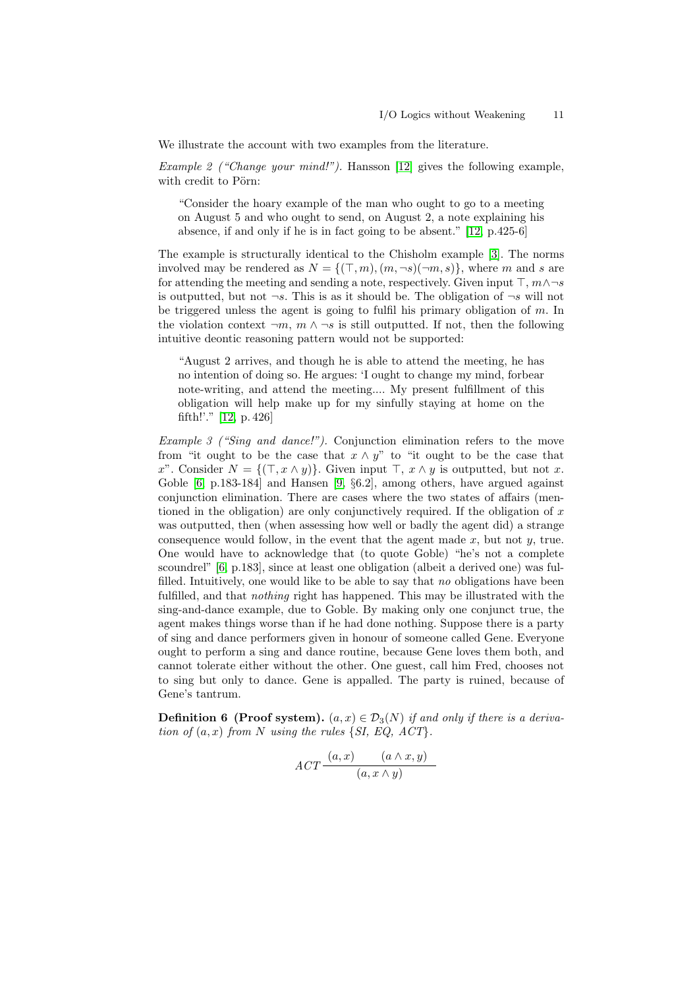We illustrate the account with two examples from the literature.

Example 2 ("Change your mind!"). Hansson [\[12\]](#page-16-8) gives the following example, with credit to Pörn:

"Consider the hoary example of the man who ought to go to a meeting on August 5 and who ought to send, on August 2, a note explaining his absence, if and only if he is in fact going to be absent." [\[12,](#page-16-8) p.425-6]

The example is structurally identical to the Chisholm example [\[3\]](#page-15-6). The norms involved may be rendered as  $N = \{(\top, m), (m, \neg s)(\neg m, s)\}\,$ , where m and s are for attending the meeting and sending a note, respectively. Given input  $\top, m \wedge \neg s$ is outputted, but not  $\neg s$ . This is as it should be. The obligation of  $\neg s$  will not be triggered unless the agent is going to fulfil his primary obligation of m. In the violation context  $\neg m$ ,  $m \wedge \neg s$  is still outputted. If not, then the following intuitive deontic reasoning pattern would not be supported:

"August 2 arrives, and though he is able to attend the meeting, he has no intention of doing so. He argues: 'I ought to change my mind, forbear note-writing, and attend the meeting.... My present fulfillment of this obligation will help make up for my sinfully staying at home on the fifth!'." [\[12,](#page-16-8) p. 426]

Example 3 ("Sing and dance!"). Conjunction elimination refers to the move from "it ought to be the case that  $x \wedge y$ " to "it ought to be the case that x". Consider  $N = \{(\top, x \wedge y)\}\)$ . Given input  $\top$ ,  $x \wedge y$  is outputted, but not x. Goble [\[6,](#page-15-1) p.183-184] and Hansen [\[9,](#page-16-5) §6.2], among others, have argued against conjunction elimination. There are cases where the two states of affairs (mentioned in the obligation) are only conjunctively required. If the obligation of  $x$ was outputted, then (when assessing how well or badly the agent did) a strange consequence would follow, in the event that the agent made  $x$ , but not  $y$ , true. One would have to acknowledge that (to quote Goble) "he's not a complete scoundrel" [\[6,](#page-15-1) p.183], since at least one obligation (albeit a derived one) was fulfilled. Intuitively, one would like to be able to say that no obligations have been fulfilled, and that nothing right has happened. This may be illustrated with the sing-and-dance example, due to Goble. By making only one conjunct true, the agent makes things worse than if he had done nothing. Suppose there is a party of sing and dance performers given in honour of someone called Gene. Everyone ought to perform a sing and dance routine, because Gene loves them both, and cannot tolerate either without the other. One guest, call him Fred, chooses not to sing but only to dance. Gene is appalled. The party is ruined, because of Gene's tantrum.

**Definition 6 (Proof system).**  $(a, x) \in \mathcal{D}_3(N)$  if and only if there is a derivation of  $(a, x)$  from N using the rules  $\{SI, EQ, ACT\}$ .

$$
ACT \frac{(a, x) \qquad (a \wedge x, y)}{(a, x \wedge y)}
$$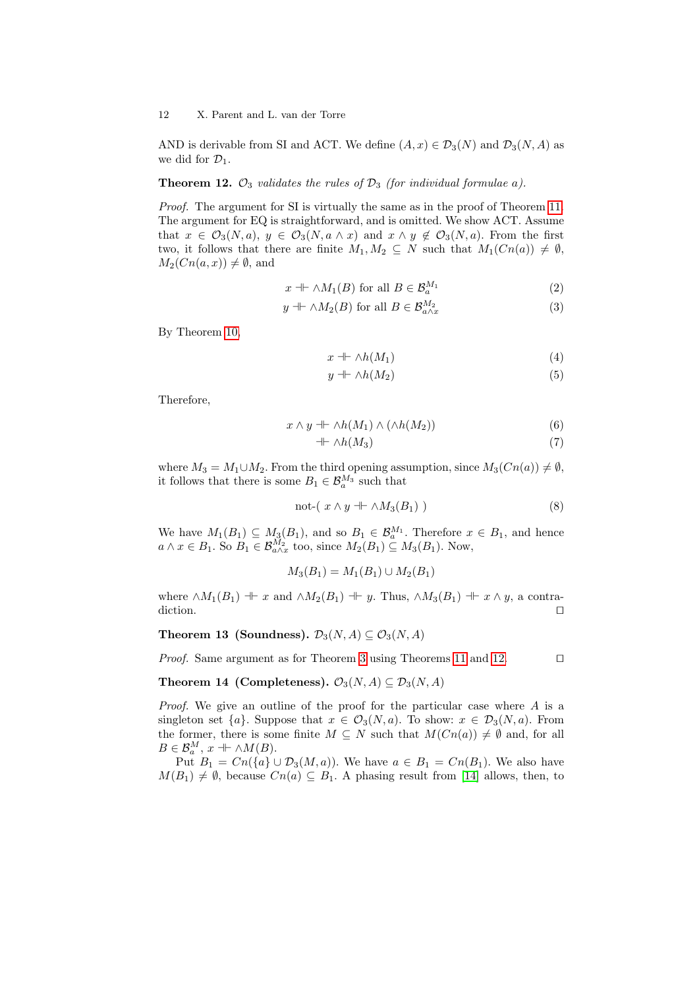AND is derivable from SI and ACT. We define  $(A, x) \in \mathcal{D}_3(N)$  and  $\mathcal{D}_3(N, A)$  as we did for  $\mathcal{D}_1$ .

#### <span id="page-11-0"></span>**Theorem 12.**  $\mathcal{O}_3$  validates the rules of  $\mathcal{D}_3$  (for individual formulae a).

Proof. The argument for SI is virtually the same as in the proof of Theorem [11.](#page-9-3) The argument for EQ is straightforward, and is omitted. We show ACT. Assume that  $x \in \mathcal{O}_3(N, a), y \in \mathcal{O}_3(N, a \wedge x)$  and  $x \wedge y \notin \mathcal{O}_3(N, a)$ . From the first two, it follows that there are finite  $M_1, M_2 \subseteq N$  such that  $M_1(Cn(a)) \neq \emptyset$ ,  $M_2(Cn(a, x)) \neq \emptyset$ , and

$$
x \dashv \land M_1(B) \text{ for all } B \in \mathcal{B}_a^{M_1} \tag{2}
$$

$$
y \dashv \land M_2(B) \text{ for all } B \in \mathcal{B}_{a \land x}^{M_2} \tag{3}
$$

By Theorem [10,](#page-9-0)

$$
x \dashv \vdash \land h(M_1) \tag{4}
$$

$$
y \dashv \vdash \land h(M_2) \tag{5}
$$

Therefore,

$$
x \wedge y + \wedge h(M_1) \wedge (\wedge h(M_2)) \tag{6}
$$

$$
\dashv \vdash \land h(M_3) \tag{7}
$$

where  $M_3 = M_1 \cup M_2$ . From the third opening assumption, since  $M_3(Cn(a)) \neq \emptyset$ , it follows that there is some  $B_1 \in \mathcal{B}_a^{M_3}$  such that

$$
not\text{-} (\; x \land y \dashv \land M_3(B_1) \; ) \tag{8}
$$

We have  $M_1(B_1) \subseteq M_3(B_1)$ , and so  $B_1 \in \mathcal{B}_a^{M_1}$ . Therefore  $x \in B_1$ , and hence  $a \wedge x \in B_1$ . So  $B_1 \in \mathcal{B}_{a \wedge x}^{M_2}$  too, since  $M_2(B_1) \subseteq M_3(B_1)$ . Now,

$$
M_3(B_1) = M_1(B_1) \cup M_2(B_1)
$$

where  $\wedge M_1(B_1) \dashv x$  and  $\wedge M_2(B_1) \dashv y$ . Thus,  $\wedge M_3(B_1) \dashv x \wedge y$ , a contradiction.  $\Box$ 

Theorem 13 (Soundness).  $\mathcal{D}_3(N, A) \subseteq \mathcal{O}_3(N, A)$ 

*Proof.* Same argument as for Theorem [3](#page-4-1) using Theorems [11](#page-9-3) and [12.](#page-11-0)  $\Box$ 

Theorem 14 (Completeness).  $\mathcal{O}_3(N, A) \subseteq \mathcal{D}_3(N, A)$ 

Proof. We give an outline of the proof for the particular case where A is a singleton set  $\{a\}$ . Suppose that  $x \in \mathcal{O}_3(N, a)$ . To show:  $x \in \mathcal{D}_3(N, a)$ . From the former, there is some finite  $M \subseteq N$  such that  $M(Cn(a)) \neq \emptyset$  and, for all  $B \in \mathcal{B}_a^M$ ,  $x \dashv \wedge M(B)$ .

Put  $B_1 = Cn({a} \cup D_3(M, a))$ . We have  $a \in B_1 = Cn(B_1)$ . We also have  $M(B_1) \neq \emptyset$ , because  $Cn(a) \subseteq B_1$ . A phasing result from [\[14\]](#page-16-0) allows, then, to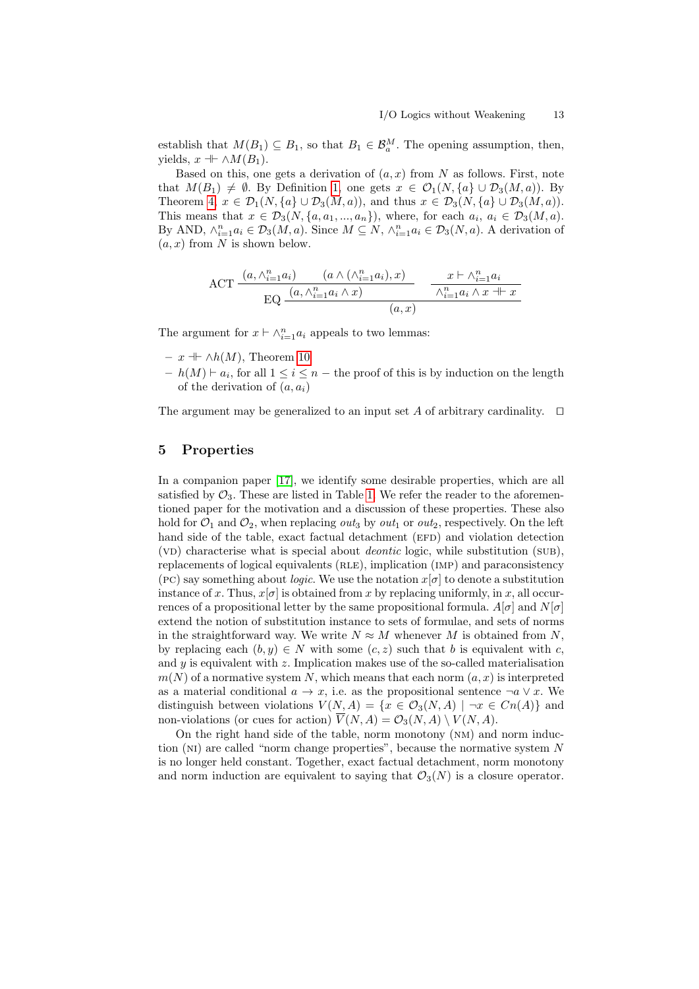establish that  $M(B_1) \subseteq B_1$ , so that  $B_1 \in \mathcal{B}_{a}^M$ . The opening assumption, then, yields,  $x$  + ∧ $M(B_1)$ .

Based on this, one gets a derivation of  $(a, x)$  from N as follows. First, note that  $M(B_1) \neq \emptyset$ . By Definition [1,](#page-3-2) one gets  $x \in \mathcal{O}_1(N, \{a\} \cup \mathcal{D}_3(M, a))$ . By Theorem [4,](#page-5-3)  $x \in \mathcal{D}_1(N, \{a\} \cup \mathcal{D}_3(M, a))$ , and thus  $x \in \mathcal{D}_3(N, \{a\} \cup \mathcal{D}_3(M, a))$ . This means that  $x \in \mathcal{D}_3(N, \{a, a_1, ..., a_n\})$ , where, for each  $a_i, a_i \in \mathcal{D}_3(M, a)$ . By AND,  $\wedge_{i=1}^{n} a_i \in \mathcal{D}_3(M, a)$ . Since  $M \subseteq N$ ,  $\wedge_{i=1}^{n} a_i \in \mathcal{D}_3(N, a)$ . A derivation of  $(a, x)$  from N is shown below.

$$
\text{ACT } \frac{(a, \wedge_{i=1}^{n} a_i) \qquad (a \wedge (\wedge_{i=1}^{n} a_i), x)}{\text{EQ } \frac{(a, \wedge_{i=1}^{n} a_i \wedge x)}{(a, x)} \qquad \frac{x \vdash \wedge_{i=1}^{n} a_i}{\wedge_{i=1}^{n} a_i \wedge x} \frac{x \vdash \wedge_{i=1}^{n} a_i}{\wedge x \vdash x}
$$

The argument for  $x \vdash \wedge_{i=1}^{n} a_i$  appeals to two lemmas:

– x  $\vdash \wedge h(M)$ , Theorem [10](#page-9-0)

 $- h(M) \vdash a_i$ , for all  $1 \leq i \leq n -$  the proof of this is by induction on the length of the derivation of  $(a, a_i)$ 

The argument may be generalized to an input set A of arbitrary cardinality.  $\square$ 

## <span id="page-12-0"></span>5 Properties

In a companion paper [\[17\]](#page-16-6), we identify some desirable properties, which are all satisfied by  $\mathcal{O}_3$ . These are listed in Table [1.](#page-13-0) We refer the reader to the aforementioned paper for the motivation and a discussion of these properties. These also hold for  $\mathcal{O}_1$  and  $\mathcal{O}_2$ , when replacing *out*<sub>3</sub> by *out*<sub>1</sub> or *out*<sub>2</sub>, respectively. On the left hand side of the table, exact factual detachment (EFD) and violation detection  $(vD)$  characterise what is special about *deontic* logic, while substitution (SUB), replacements of logical equivalents (RLE), implication (IMP) and paraconsistency  $(PC)$  say something about *logic*. We use the notation  $x[\sigma]$  to denote a substitution instance of x. Thus,  $x[\sigma]$  is obtained from x by replacing uniformly, in x, all occurrences of a propositional letter by the same propositional formula.  $A[\sigma]$  and  $N[\sigma]$ extend the notion of substitution instance to sets of formulae, and sets of norms in the straightforward way. We write  $N \approx M$  whenever M is obtained from N, by replacing each  $(b, y) \in N$  with some  $(c, z)$  such that b is equivalent with c, and  $y$  is equivalent with  $z$ . Implication makes use of the so-called materialisation  $m(N)$  of a normative system N, which means that each norm  $(a, x)$  is interpreted as a material conditional  $a \to x$ , i.e. as the propositional sentence  $\neg a \lor x$ . We distinguish between violations  $V(N, A) = \{x \in \mathcal{O}_3(N, A) \mid \neg x \in C_n(A)\}\$ and non-violations (or cues for action)  $\overline{V}(N, A) = \mathcal{O}_3(N, A) \setminus V(N, A)$ .

On the right hand side of the table, norm monotony (nm) and norm induction  $(NI)$  are called "norm change properties", because the normative system  $N$ is no longer held constant. Together, exact factual detachment, norm monotony and norm induction are equivalent to saying that  $\mathcal{O}_3(N)$  is a closure operator.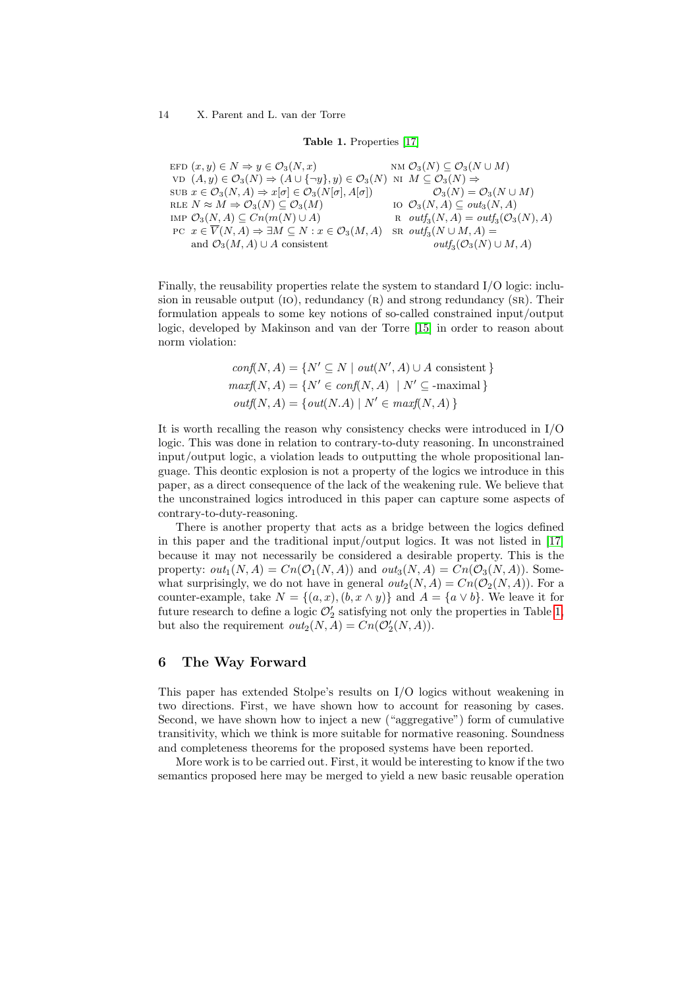<span id="page-13-0"></span>Table 1. Properties [\[17\]](#page-16-6)

EFD  $(x, y) \in N \Rightarrow y \in \mathcal{O}_3(N, x)$  NM  $\mathcal{O}_3(N) \subseteq \mathcal{O}_3(N \cup M)$ vd  $(A, y) \in \mathcal{O}_3(N) \Rightarrow (A \cup \{\neg y\}, y) \in \mathcal{O}_3(N)$  ni  $M \subseteq \mathcal{O}_3(N) \Rightarrow$ <br>sub  $x \in \mathcal{O}_3(N, A) \Rightarrow x[\sigma] \in \mathcal{O}_3(N[\sigma], A[\sigma])$   $\mathcal{O}_3(N) = \mathcal{O}_3(N \cup M)$  $\text{SUB } x \in \mathcal{O}_3(N, A) \Rightarrow x[\sigma] \in \mathcal{O}_3(N[\sigma], A[\sigma])$ RLE  $N \approx M \Rightarrow \mathcal{O}_3(N) \subseteq \mathcal{O}_3(M)$  io  $\mathcal{O}_3(N, A) \subseteq out_3(N, A)$ imp  $\mathcal{O}_3(N, A) \subseteq Cn(m(N) \cup A)$  $(N, A) = outf_3(O_3(N), A)$ PC  $x \in \overline{V}(N, A) \Rightarrow \exists M \subseteq N : x \in \mathcal{O}_3(M, A)$  Sr  $\text{outf}_3(N \cup M, A) =$ and  $\mathcal{O}_3(M, A) \cup A$  consistent  $outf_3(\mathcal{O}_3(N) \cup M, A)$ 

Finally, the reusability properties relate the system to standard I/O logic: inclusion in reusable output (IO), redundancy  $(R)$  and strong redundancy  $(SR)$ . Their formulation appeals to some key notions of so-called constrained input/output logic, developed by Makinson and van der Torre [\[15\]](#page-16-11) in order to reason about norm violation:

$$
conf(N, A) = \{ N' \subseteq N \mid out(N', A) \cup A \text{ consistent } \}
$$

$$
maxf(N, A) = \{ N' \in conf(N, A) \mid N' \subseteq \text{-maximal } \}
$$

$$
outf(N, A) = \{ out(N.A) \mid N' \in maxf(N, A) \}
$$

It is worth recalling the reason why consistency checks were introduced in I/O logic. This was done in relation to contrary-to-duty reasoning. In unconstrained input/output logic, a violation leads to outputting the whole propositional language. This deontic explosion is not a property of the logics we introduce in this paper, as a direct consequence of the lack of the weakening rule. We believe that the unconstrained logics introduced in this paper can capture some aspects of contrary-to-duty-reasoning.

There is another property that acts as a bridge between the logics defined in this paper and the traditional input/output logics. It was not listed in [\[17\]](#page-16-6) because it may not necessarily be considered a desirable property. This is the property:  $out_1(N, A) = Cn(\mathcal{O}_1(N, A))$  and  $out_3(N, A) = Cn(\mathcal{O}_3(N, A))$ . Somewhat surprisingly, we do not have in general  $out_2(N, A) = Cn(\mathcal{O}_2(N, A))$ . For a counter-example, take  $N = \{(a, x), (b, x \wedge y)\}\$ and  $A = \{a \vee b\}$ . We leave it for future research to define a logic  $\mathcal{O}'_2$  satisfying not only the properties in Table [1,](#page-13-0) but also the requirement  $\text{out}_2(N, A) = \text{C}_2(N, A)$ .

## 6 The Way Forward

This paper has extended Stolpe's results on I/O logics without weakening in two directions. First, we have shown how to account for reasoning by cases. Second, we have shown how to inject a new ("aggregative") form of cumulative transitivity, which we think is more suitable for normative reasoning. Soundness and completeness theorems for the proposed systems have been reported.

More work is to be carried out. First, it would be interesting to know if the two semantics proposed here may be merged to yield a new basic reusable operation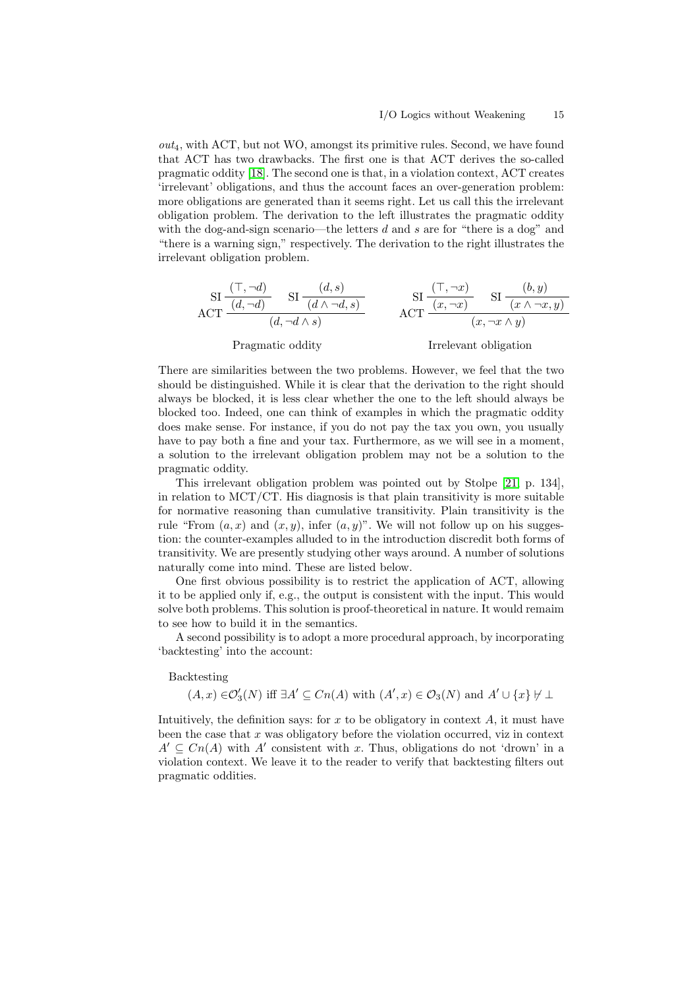$out_4$ , with ACT, but not WO, amongst its primitive rules. Second, we have found that ACT has two drawbacks. The first one is that ACT derives the so-called pragmatic oddity [\[18\]](#page-16-12). The second one is that, in a violation context, ACT creates 'irrelevant' obligations, and thus the account faces an over-generation problem: more obligations are generated than it seems right. Let us call this the irrelevant obligation problem. The derivation to the left illustrates the pragmatic oddity with the dog-and-sign scenario—the letters  $d$  and  $s$  are for "there is a dog" and "there is a warning sign," respectively. The derivation to the right illustrates the irrelevant obligation problem.

$$
\text{ACT } \frac{(\top, \neg d)}{(d, \neg d) \quad \text{SI } \frac{(d, s)}{(d \land \neg d, s)}}{\text{Pragmatic oddity}} \qquad \text{ACT } \frac{(\top, \neg x)}{(x, \neg x)} \quad \text{SI } \frac{(b, y)}{(x \land \neg x, y)}
$$
\n
$$
\text{Pragmatic oddity} \qquad \text{Irrelevant obligation}
$$

There are similarities between the two problems. However, we feel that the two should be distinguished. While it is clear that the derivation to the right should always be blocked, it is less clear whether the one to the left should always be blocked too. Indeed, one can think of examples in which the pragmatic oddity does make sense. For instance, if you do not pay the tax you own, you usually have to pay both a fine and your tax. Furthermore, as we will see in a moment, a solution to the irrelevant obligation problem may not be a solution to the pragmatic oddity.

This irrelevant obligation problem was pointed out by Stolpe [\[21,](#page-16-2) p. 134], in relation to  $MCT/CT$ . His diagnosis is that plain transitivity is more suitable for normative reasoning than cumulative transitivity. Plain transitivity is the rule "From  $(a, x)$  and  $(x, y)$ , infer  $(a, y)$ ". We will not follow up on his suggestion: the counter-examples alluded to in the introduction discredit both forms of transitivity. We are presently studying other ways around. A number of solutions naturally come into mind. These are listed below.

One first obvious possibility is to restrict the application of ACT, allowing it to be applied only if, e.g., the output is consistent with the input. This would solve both problems. This solution is proof-theoretical in nature. It would remaim to see how to build it in the semantics.

A second possibility is to adopt a more procedural approach, by incorporating 'backtesting' into the account:

Backtesting

 $(A, x) \in \mathcal{O}'_3(N)$  iff  $\exists A' \subseteq Cn(A)$  with  $(A', x) \in \mathcal{O}_3(N)$  and  $A' \cup \{x\} \not\vdash \bot$ 

Intuitively, the definition says: for  $x$  to be obligatory in context  $A$ , it must have been the case that  $x$  was obligatory before the violation occurred, viz in context  $A' \subseteq Cn(A)$  with A' consistent with x. Thus, obligations do not 'drown' in a violation context. We leave it to the reader to verify that backtesting filters out pragmatic oddities.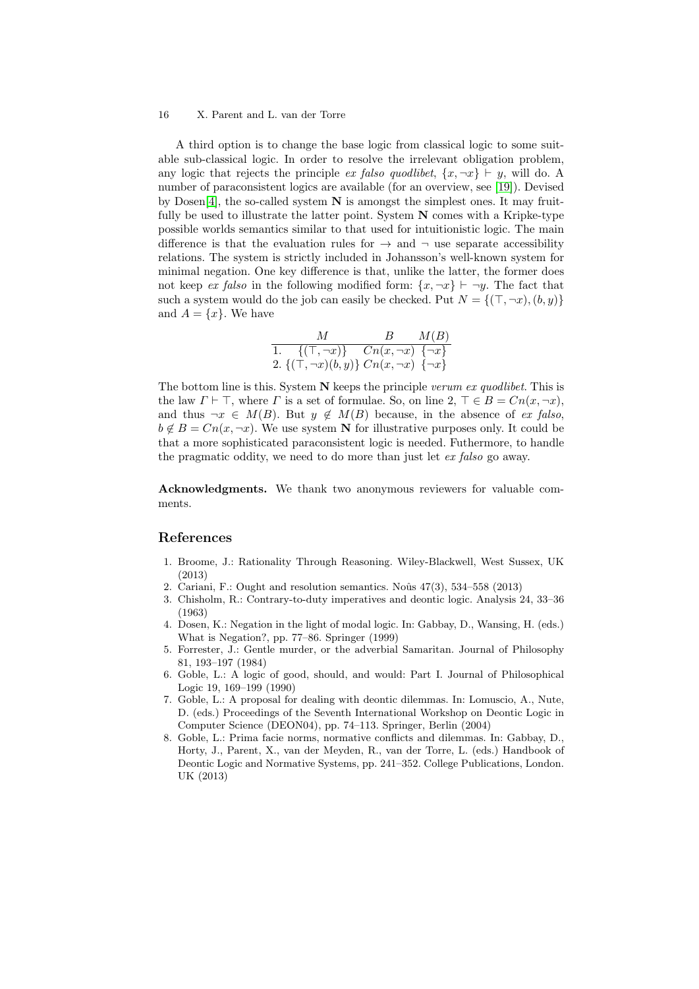A third option is to change the base logic from classical logic to some suitable sub-classical logic. In order to resolve the irrelevant obligation problem, any logic that rejects the principle ex falso quodlibet,  $\{x, \neg x\} \vdash y$ , will do. A number of paraconsistent logics are available (for an overview, see [\[19\]](#page-16-13)). Devised by Dosen[\[4\]](#page-15-7), the so-called system  $N$  is amongst the simplest ones. It may fruitfully be used to illustrate the latter point. System  $N$  comes with a Kripke-type possible worlds semantics similar to that used for intuitionistic logic. The main difference is that the evaluation rules for  $\rightarrow$  and  $\neg$  use separate accessibility relations. The system is strictly included in Johansson's well-known system for minimal negation. One key difference is that, unlike the latter, the former does not keep ex falso in the following modified form:  $\{x, \neg x\} \vdash \neg y$ . The fact that such a system would do the job can easily be checked. Put  $N = \{(\top, \neg x), (b, y)\}\$ and  $A = \{x\}$ . We have

$$
\frac{M}{1. \quad \{(\top, \neg x)\} \quad Cn(x, \neg x) \quad \{\neg x\}}}{2. \quad \{(\top, \neg x)(b, y)\} \quad Cn(x, \neg x) \quad \{\neg x\}}
$$

The bottom line is this. System  $N$  keeps the principle verum ex quodlibet. This is the law  $\Gamma \vdash \top$ , where  $\Gamma$  is a set of formulae. So, on line  $2, \top \in B = Cn(x, \neg x)$ , and thus  $\neg x \in M(B)$ . But  $y \notin M(B)$  because, in the absence of ex falso,  $b \notin B = Cn(x, \neg x)$ . We use system **N** for illustrative purposes only. It could be that a more sophisticated paraconsistent logic is needed. Futhermore, to handle the pragmatic oddity, we need to do more than just let *ex falso* go away.

Acknowledgments. We thank two anonymous reviewers for valuable comments.

## References

- <span id="page-15-5"></span>1. Broome, J.: Rationality Through Reasoning. Wiley-Blackwell, West Sussex, UK (2013)
- <span id="page-15-2"></span>2. Cariani, F.: Qught and resolution semantics. Noûs  $47(3)$ , 534–558 (2013)
- <span id="page-15-6"></span>3. Chisholm, R.: Contrary-to-duty imperatives and deontic logic. Analysis 24, 33–36 (1963)
- <span id="page-15-7"></span>4. Dosen, K.: Negation in the light of modal logic. In: Gabbay, D., Wansing, H. (eds.) What is Negation?, pp. 77–86. Springer (1999)
- <span id="page-15-0"></span>5. Forrester, J.: Gentle murder, or the adverbial Samaritan. Journal of Philosophy 81, 193–197 (1984)
- <span id="page-15-1"></span>6. Goble, L.: A logic of good, should, and would: Part I. Journal of Philosophical Logic 19, 169–199 (1990)
- <span id="page-15-3"></span>7. Goble, L.: A proposal for dealing with deontic dilemmas. In: Lomuscio, A., Nute, D. (eds.) Proceedings of the Seventh International Workshop on Deontic Logic in Computer Science (DEON04), pp. 74–113. Springer, Berlin (2004)
- <span id="page-15-4"></span>8. Goble, L.: Prima facie norms, normative conflicts and dilemmas. In: Gabbay, D., Horty, J., Parent, X., van der Meyden, R., van der Torre, L. (eds.) Handbook of Deontic Logic and Normative Systems, pp. 241–352. College Publications, London. UK (2013)